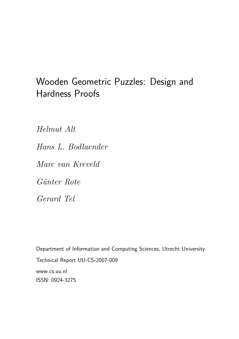# Wooden Geometric Puzzles: Design and Hardness Proofs

Helmut Alt

Hans L. Bodlaender

Marc van Kreveld

Günter Rote

Gerard Tel

Department of Information and Computing Sciences, Utrecht University Technical Report UU-CS-2007-009 www.cs.uu.nl ISSN: 0924-3275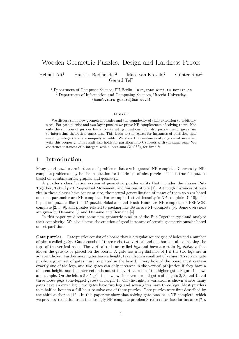# Wooden Geometric Puzzles: Design and Hardness Proofs

Helmut  $Alt^1$  Hans L. Bodlaender<sup>2</sup> Marc van Kreveld<sup>2</sup> Günter Rote<sup>1</sup> Gerard Tel<sup>2</sup>

<sup>1</sup> Department of Computer Science, FU Berlin. {alt,rote}@inf.fu-berlin.de <sup>2</sup> Department of Information and Computing Sciences, Utrecht University. {hansb,marc,gerard}@cs.uu.nl

#### Abstract

We discuss some new geometric puzzles and the complexity of their extension to arbitrary sizes. For gate puzzles and two-layer puzzles we prove NP-completeness of solving them. Not only the solution of puzzles leads to interesting questions, but also puzzle design gives rise to interesting theoretical questions. This leads to the search for instances of partition that use only integers and are uniquely solvable. We show that instances of polynomial size exist with this property. This result also holds for partition into  $k$  subsets with the same sum: We construct instances of n integers with subset sum  $O(n^{k+1})$ , for fixed k.

#### 1 Introduction

Many good puzzles are instances of problems that are in general NP-complete. Conversely, NPcomplete problems may be the inspiration for the design of nice puzzles. This is true for puzzles based on combinatorics, graphs, and geometry.

A puzzler's classification system of geometric puzzles exists that includes the classes Put-Together, Take Apart, Sequential Movement, and various others [1]. Although instances of puzzles in these classes have constant size, the natural generalization of many of them to sizes based on some parameter are NP-complete. For example, Instant Insanity is NP-complete [7, 10], sliding block puzzles like the 15-puzzle, Sokoban, and Rush Hour are NP-complete or PSPACEcomplete [2, 6, 9], and puzzles related to packing like Tetris are NP-complete [5]. Some overviews are given by Demaine [3] and Demaine and Demaine [4].

In this paper we discuss some new geometric puzzles of the Put-Together type and analyze their complexity. We also discuss the creation of good instances of certain geometric puzzles based on set partition.

Gate puzzles. Gate puzzles consist of a board that is a regular square grid of holes and a number of pieces called gates. Gates consist of three rods, two vertical and one horizontal, connecting the tops of the vertical rods. The vertical rods are called legs and have a certain leg distance that allows the gate to be placed on the board. A gate has a leg distance of 1 if the two legs are in adjacent holes. Furthermore, gates have a height, taken from a small set of values. To solve a gate puzzle, a given set of gates must be placed in the board. Every hole of the board must contain exactly one of the legs, and two gates can only intersect in the vertical projection if they have a different height, and the intersection is not at the vertical rods of the higher gate. Figure 1 shows an example. On the left, a  $5\times 5$  grid is shown with eleven normal gates of heights 2, 3, and 4, and three loose pegs (one-legged gates) of height 1. On the right, a variation is shown where many gates have an extra leg: Two gates have two legs and seven gates have three legs. Most puzzlers take half an hour to a full hour to solve one of these puzzles. Gate puzzles were first described by the third author in [12]. In this paper we show that solving gate puzzles is NP-complete, which we prove by reduction from the strongly NP-complete problem 3-PARTITION (see for instance [7]).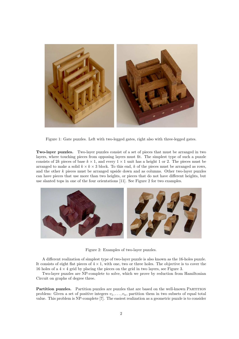

Figure 1: Gate puzzles. Left with two-legged gates, right also with three-legged gates.

Two-layer puzzles. Two-layer puzzles consist of a set of pieces that must be arranged in two layers, where touching pieces from opposing layers must fit. The simplest type of such a puzzle consists of 2k pieces of base  $k \times 1$ , and every  $1 \times 1$  unit has a height 1 or 2. The pieces must be arranged to make a solid  $k \times k \times 3$  block. To this end, k of the pieces must be arranged as rows, and the other k pieces must be arranged upside down and as columns. Other two-layer puzzles can have pieces that use more than two heights, or pieces that do not have different heights, but use slanted tops in one of the four orientations [11]. See Figure 2 for two examples.



Figure 2: Examples of two-layer puzzles.

A different realization of simplest type of two-layer puzzle is also known as the 16-holes puzzle. It consists of eight flat pieces of  $4 \times 1$ , with one, two or three holes. The objective is to cover the 16 holes of a  $4 \times 4$  grid by placing the pieces on the grid in two layers, see Figure 3.

Two-layer puzzles are NP-complete to solve, which we prove by reduction from Hamiltonian Circuit on graphs of degree three.

Partition puzzles. Partition puzzles are puzzles that are based on the well-known PARTITION problem: Given a set of positive integers  $v_1, \ldots, v_n$ , partition them in two subsets of equal total value. This problem is NP-complete [7]. The easiest realization as a geometric puzzle is to consider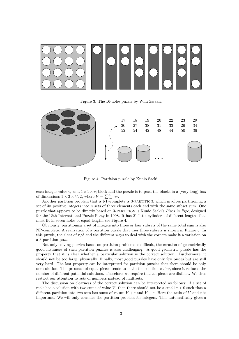

Figure 3: The 16-holes puzzle by Wim Zwaan.



Figure 4: Partition puzzle by Kunio Saeki.

each integer value  $v_i$  as a  $1 \times 1 \times v_i$  block and the puzzle is to pack the blocks in a (very long) box of dimensions  $1 \times 2 \times V/2$ , where  $V = \sum_{i=1}^{n} v_i$ .

Another partition problem that is NP-complete is 3-partition, which involves partitioning a set of  $3n$  positive integers into n sets of three elements each and with the same subset sum. One puzzle that appears to be directly based on 3-partition is Kunio Saeki's Pipes in Pipe, designed for the 18th International Puzzle Party in 1998. It has 21 little cylinders of different lengths that must fit in seven holes of equal length, see Figure 4.

Obviously, partitioning a set of integers into three or four subsets of the same total sum is also NP-complete. A realization of a partition puzzle that uses three subsets is shown in Figure 5. In this puzzle, the slant of  $\pi/3$  and the different ways to deal with the corners make it a variation on a 3-partition puzzle.

Not only solving puzzles based on partition problems is difficult, the creation of geometrically good instances of such partition puzzles is also challenging. A good geometric puzzle has the property that it is clear whether a particular solution is the correct solution. Furthermore, it should not be too large, physically. Finally, most good puzzles have only few pieces but are still very hard. The last property can be interpreted for partition puzzles that there should be only one solution. The presence of equal pieces tends to make the solution easier, since it reduces the number of different potential solutions. Therefore, we require that all pieces are distinct. We thus restrict our attention to sets of numbers instead of multisets.

The discussion on clearness of the correct solution can be interpreted as follows: if a set of reals has a solution with two sums of value V, then there should not be a small  $\varepsilon > 0$  such that a different partition into two sets has sums of values  $V + \varepsilon$  and  $V - \varepsilon$ . Here the ratio of V and  $\varepsilon$  is important. We will only consider the partition problem for integers. This automatically gives a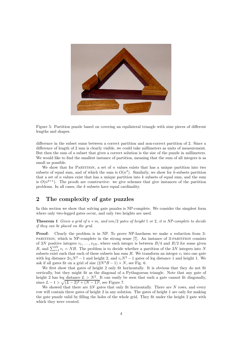

Figure 5: Partition puzzle based on covering an equilateral triangle with nine pieces of different lengths and shapes.

difference in the subset sums between a correct partition and non-correct partition of 2. Since a difference of length of 2 mm is clearly visible, we could take millimeters as units of measurement. But then the sum of a subset that gives a correct solution is the size of the puzzle in millimeters. We would like to find the smallest instance of partition, meaning that the sum of all integers is as small as possible.

We show that for PARTITION, a set of  $n$  values exists that has a unique partition into two subsets of equal sum, and of which the sum is  $O(n^3)$ . Similarly, we show for k-subsets partition that a set of  $n$  values exist that has a unique partition into  $k$  subsets of equal sum, and the sum is  $O(n^{k+1})$ . The proofs are constructive: we give schemes that give instances of the partition problems. In all cases, the k subsets have equal cardinality.

#### 2 The complexity of gate puzzles

In this section we show that solving gate puzzles is NP-complete. We consider the simplest form where only two-legged gates occur, and only two heights are used.

**Theorem 1** Given a grid of  $n \times m$ , and  $nm/2$  gates of height 1 or 2, it is NP-complete to decide if they can be placed on the grid.

Proof: Clearly the problem is in NP. To prove NP-hardness we make a reduction from 3 partition, which is NP-complete in the strong sense [7]. An instance of 3-partition consists of 3N positive integers  $v_1, \ldots, v_{3N}$ , where each integer is between  $B/4$  and  $B/2$  for some given B, and  $\sum_{i=1}^{3N} v_i = NB$ . The problem is to decide whether a partition of the 3N integers into N subsets exist such that each of these subsets has sum  $B$ . We transform an integer  $v_i$  into one gate with leg distance  $2v_iN^2 - 1$  and height 2, and  $v_iN^2 - 1$  gates of leg distance 1 and height 1. We ask if all gates fit on a grid of size  $(2N^2B - 1) \times N$ , see Fig. 6.

We first show that gates of height 2 only fit horizontally. It is obvious that they do not fit vertically, but they might fit as the diagonal of a Pythagorean triangle. Note that any gate of height 2 has leg distance  $L > N^2$ . It can easily be seen that such a gate cannot fit diagonally, since  $L - 1 > \sqrt{(L - 2)^2 + (N - 1)^2}$ , see Figure 7.

We showed that there are  $3N$  gates that only fit horizontally. There are  $N$  rows, and every row will contain three gates of height 2 in any solution. The gates of height 1 are only for making the gate puzzle valid by filling the holes of the whole grid. They fit under the height 2 gate with which they were created.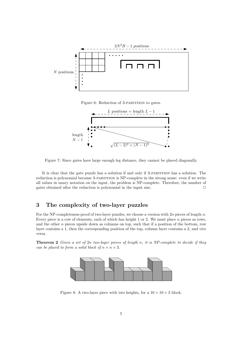

Figure 6: Reduction of 3-PARTITION to gates.



Figure 7: Since gates have large enough leg distance, they cannot be placed diagonally.

It is clear that the gate puzzle has a solution if and only if 3-partition has a solution. The reduction is polynomial because 3-partition is NP-complete in the strong sense: even if we write all values in unary notation on the input, the problem is NP-complete. Therefore, the number of gates obtained after the reduction is polynomial in the input size.  $\Box$ 

## 3 The complexity of two-layer puzzles

For the NP-completeness proof of two-layer puzzles, we choose a version with 2n pieces of length n. Every piece is a row of elements, each of which has height 1 or 2. We must place  $n$  pieces as rows, and the other  $n$  pieces upside down as columns on top, such that if a position of the bottom, row layer contains a 1, then the corresponding position of the top, column layer contains a 2, and vice versa.

**Theorem 2** Given a set of 2n two-layer pieces of length n, it is NP-complete to decide if they can be placed to form a solid block of  $n \times n \times 3$ .



Figure 8: A two-layer piece with two heights, for a  $10 \times 10 \times 3$  block.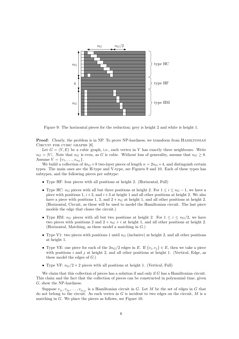

Figure 9: The horizontal pieces for the reduction; grey is height 2 and white is height 1.

**Proof:** Clearly, the problem is in NP. To prove NP-hardness, we transform from HAMILTONIAN CIRCUIT FOR CUBIC GRAPHS [8].

Let  $G = (V, E)$  be a cubic graph, i.e., each vertex in V has exactly three neighbours. Write  $n_G = |V|$ . Note that  $n_G$  is even, as G is cubic. Without loss of generality, assume that  $n_G \geq 8$ . Assume  $V = \{v_1, \ldots, v_{n_G}\}.$ 

We build a collection of  $4n<sub>G</sub> + 8$  two-layer pieces of length  $n = 2n<sub>G</sub> + 4$ , and distinguish certain types. The main ones are the H-type and V-type, see Figures 9 and 10. Each of these types has subtypes, and the following pieces per subtype:

- Type HF: four pieces with all positions at height 2. (Horizontal, Full)
- Type HC:  $n_G$  pieces with all but three positions at height 2. For  $1 \le i \le n_G 1$ , we have a piece with positions 1,  $i+2$ , and  $i+3$  at height 1 and all other positions at height 2. We also have a piece with positions 1, 3, and  $2 + n<sub>G</sub>$  at height 1, and all other positions at height 2. (Horizontal, Circuit, as these will be used to model the Hamiltonian circuit. The last piece models the edge that closes the circuit.)
- Type HM:  $n_G$  pieces with all but two positions at height 2. For  $1 \leq i \leq n_G/2$ , we have two pieces with positions 2 and  $2 + n<sub>G</sub> + i$  at height 1, and all other positions at height 2. (Horizontal, Matching, as these model a matching in G.)
- Type V1: two pieces with positions 1 until  $n<sub>G</sub>$  (inclusive) at height 2, and all other positions at height 1.
- Type VE: one piece for each of the  $3n_G/2$  edges in E. If  $\{v_i, v_j\} \in E$ , then we take a piece with positions i and j at height 2, and all other positions at height 1. (Vertical, Edge, as these model the edges of  $G$ .)
- Type VF:  $n_G/2 + 2$  pieces with all positions at height 1. (Vertical, Full)

We claim that this collection of pieces has a solution if and only if G has a Hamiltonian circuit. This claim and the fact that the collection of pieces can be constructed in polynomial time, given G, show the NP-hardness.

Suppose  $v_{j_1}, v_{j_2}, \ldots, v_{j_{n_G}}$  is a Hamiltonian circuit in G. Let M be the set of edges in G that do not belong to the circuit. As each vertex in  $G$  is incident to two edges on the circuit,  $M$  is a matching in G. We place the pieces as follows, see Figure 10.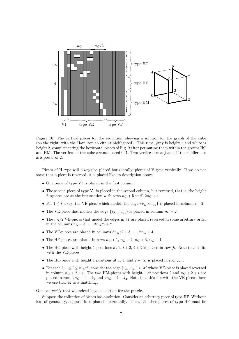

Figure 10: The vertical pieces for the reduction, showing a solution for the graph of the cube (on the right, with the Hamiltonian circuit highlighted). This time, grey is height 1 and white is height 2, complementing the horizontal pieces of Fig. 9 after permuting them within the groups HC and HM. The vertices of the cube are numbered 0–7. Two vertices are adjacent if their difference is a power of 2.

Pieces of H-type will always be placed horizontally, pieces of V-type vertically. If we do not state that a piece is reversed, it is placed like its description above.

- One piece of type V1 is placed in the first column.
- The second piece of type V1 is placed in the second column, but reversed, that is, the height 2 squares are at the intersection with rows  $n_G + 5$  until  $2n_G + 4$ .
- For  $1 \leq i < n_G$ , the VE-piece which models the edge  $\{v_{j_i}, v_{j_{i+1}}\}$  is placed in column  $i+2$ .
- The VE-piece that models the edge  $\{v_{j_{n_G}}, v_{j_1}\}\)$  is placed in column  $n_G + 2$ .
- The  $n_G/2$  VE-pieces that model the edges in M are placed reversed in some arbitrary order in the columns  $n_G + 3, \ldots, 3n_G/2 + 2$ .
- The VF-pieces are placed in columns  $3n_G/2+3,\ldots, 2n_G+4$ .
- The HF pieces are placed in rows  $n_G + 1$ ,  $n_G + 2$ ,  $n_G + 3$ ,  $n_G + 4$ .
- The HC-piece with height 1 positions at 1,  $i + 2$ ,  $i + 3$  is placed in row  $j_i$ . Note that it fits with the VE-pieces!
- The HC-piece with height 1 positions at 1, 3, and  $2 + n<sub>G</sub>$  is placed in row  $j<sub>nc</sub>$ .
- For each  $i, 1 \leq i \leq n_G/2$ : consider the edge  $\{v_{k_1}, v_{k_2}\} \in M$  whose VE-piece is placed reversed in column  $n_G + 2 + i$ . The two HM-pieces with height 1 at positions 2 and  $n_G + 2 + i$  are placed in rows  $2n_G + 4 - k_1$  and  $2n_G + 4 - k_2$ . Note that this fits with the VE-pieces; here we use that  $M$  is a matching.

One can verify that we indeed have a solution for the puzzle.

Suppose the collection of pieces has a solution. Consider an arbitrary piece of type HF. Without loss of generality, suppose it is placed horizontally. Then, all other pieces of type HF must be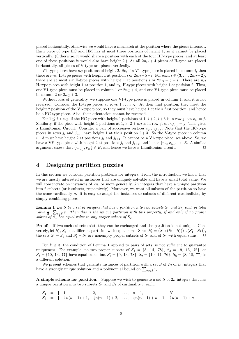placed horizontally, otherwise we would have a mismatch at the position where the pieces intersect. Each piece of type HC and HM has at most three positions of height 1, so it cannot be placed vertically. (Otherwise, it would share a position with each of the four HF-type pieces, and at least one of these positions it would also have height 2.) As all  $2n<sub>G</sub> + 4$  pieces of H-type are placed horizontally, all pieces of V-type are placed vertically.

V1-type pieces have  $n_G$  positions of height 2. So, if a V1-type piece is placed in column i, then there are  $n_G$  H-type pieces with height 1 at position i or  $2n_G+5-i$ . For each  $i \in \{3,\ldots, 2n_G+2\}$ , there are at most six H-type pieces with height 1 at positions i or  $2n_G + 5 - i$ . There are  $n_G$ H-type pieces with height 1 at position 1, and  $n<sub>G</sub>$  H-type pieces with height 1 at position 2. Thus, one V1-type piece must be placed in column 1 or  $2n<sub>G</sub> + 4$ , and one V1-type piece must be placed in column 2 or  $2n<sub>G</sub> + 3$ .

Without loss of generality, we suppose one V1-type piece is placed in column 1, and it is not reversed. Consider the H-type pieces at rows  $1, \ldots, n_G$ . At their first position, they meet the height 2 position of the V1-type piece, so they must have height 1 at their first position, and hence be a HC-type piece. Also, their orientation cannot be reversed.

For  $1 \leq i < n_G$ , if the HC-piece with height 1 positions at 1,  $i + 2$ ,  $i + 3$  is in row j, set  $v_{j_i} = j$ . Similarly, if the piece with height 1 positions at 1, 3,  $2 + n_G$  is in row j, set  $v_{j_{n_G}} = j$ . This gives a Hamiltonian Circuit. Consider a pair of successive vertices  $v_{j_i}, v_{j_{i+1}}$ . Note that the HC-type pieces in rows  $j_i$  and  $j_{i+1}$  have height 1 at their position  $i + 3$ . So the V-type piece in column  $i+3$  must have height 2 at positions  $j_i$  and  $j_{i+1}$ . It cannot be a V1-type piece, see above. So, we have a VE-type piece with height 2 at positions  $j_i$  and  $j_{i+1}$ , and hence  $\{v_{j_i}, v_{j_{i+1}}\} \in E$ . A similar argument shows that  $\{v_{j_{n_G}}, v_{j_1}\} \in E$ , and hence we have a Hamiltonian circuit.

### 4 Designing partition puzzles

In this section we consider partition problems for integers. From the introduction we know that we are mostly interested in instances that are uniquely solvable and have a small total value. We will concentrate on instances of  $2n$ , or more generally, kn integers that have a unique partition into 2 subsets (or k subsets, respectively). Moreover, we want all subsets of the partition to have the same cardinality  $n$ . It is easy to adapt the instances to subsets of different cardinalities, by simply combining pieces.

**Lemma 1** Let S be a set of integers that has a partition into two subsets  $S_1$  and  $S_2$ , each of total value  $\frac{1}{2} \cdot \sum_{v \in S} v$ . Then this is the unique partition with this property, if and only if no proper subset of  $S_1$  has equal value to any proper subset of  $S_2$ .

Proof: If two such subsets exist, they can be exchanged and the partition is not unique. Conversely, let  $S'_1$ ,  $S'_2$  be a different partition with equal sums. Since  $S'_1 = (S_1 \setminus (S_1 - S'_1)) \cup (S'_1 - S_1)$ , the sets  $S_1 - S_1'$  and  $S_1' - S_1$  are nonempty proper subsets of  $S_1$  and of  $S_2$  with equal sums.  $\Box$ 

For  $k \geq 3$ , the condition of Lemma 1 applied to pairs of sets, is not sufficient to guarantee uniqueness. For example, no two proper subsets of  $S_1 = \{8, 14, 78\}, S_2 = \{9, 15, 76\}$ , or  $S_3 = \{10, 13, 77\}$  have equal sums, but  $S_1' = \{9, 13, 78\}, S_2' = \{10, 14, 76\}, S_3' = \{8, 15, 77\}$  is a different solution.

We present schemes that generate instances of partition with a set  $S$  of  $2n$  or  $kn$  integers that have a strongly unique solution and a polynomial bound on  $\sum_{v_i \in S} v_i$ .

A simple scheme for partition. Suppose we wish to generate a set  $S$  of  $2n$  integers that has a unique partition into two subsets  $S_1$  and  $S_2$  of cardinality n each.

$$
S_1 = \{ 1, 2, ..., n-1, N \}S_2 = \{\frac{1}{2}n(n-1)+1, \frac{1}{2}n(n-1)+2, ..., \frac{1}{2}n(n-1)+n-1, \frac{1}{2}n(n-1)+n \}
$$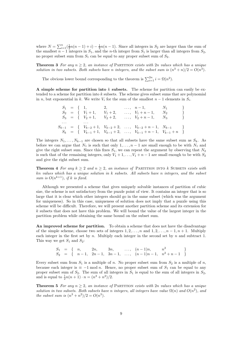where  $N = \sum_{i=1}^{n} (\frac{1}{2}n(n-1) + i) - \frac{1}{2}n(n-1)$ . Since all integers in  $S_2$  are larger than the sum of the smallest  $n-1$  integers in  $S_1$ , and the n-th integer from  $S_1$  is larger than all integers from  $S_2$ , no proper subset sum from  $S_1$  can be equal to any proper subset sum of  $S_2$ .

**Theorem 3** For any  $n \geq 2$ , an instance of PARTITION exists with 2n values which has a unique solution in two subsets. Both subsets have n integers, and the subset sum is  $(n^3 + n)/2 = O(n^3)$ .

The obvious lower bound corresponding to the theorem is  $\sum_{i=1}^{2n} i = \Omega(n^2)$ .

A simple scheme for partition into  $k$  subsets. The scheme for partition can easily be extended to a scheme for partition into k subsets. The scheme gives subset sums that are polynomial in n, but exponential in k. We write  $V_i$  for the sum of the smallest  $n-1$  elements in  $S_i$ .

|  |                               |  | $S_1 = \{ 1, 2, , n-1, N_1 \}$                                       |  |
|--|-------------------------------|--|----------------------------------------------------------------------|--|
|  | $S_2 = \{V_1 + 1, V_1 + 2,$   |  | $\ldots, V_1+n-1, N_2$                                               |  |
|  | $S_3 = \{V_2+1, V_2+2, V_3\}$ |  | $, V_2+n-1, N_3$                                                     |  |
|  |                               |  |                                                                      |  |
|  |                               |  | $S_{k-1} = \{ V_{k-2}+1, V_{k-2}+2, \ldots, V_{k-2}+n-1, N_{k-1} \}$ |  |
|  |                               |  | $S_k = \{ V_{k-1}+1, V_{k-1}+2, \ldots, V_{k-1}+n-1, V_{k-1}+n \}$   |  |

The integers  $N_1, \ldots, N_{k-1}$  are chosen so that all subsets have the same subset sum as  $S_k$ . As before we can argue that  $N_1$  is such that only  $1, \ldots, n-1$  are small enough to be with  $N_1$  and give the right subset sum. Since this fixes  $S_1$ , we can repeat the argument by observing that  $N_2$ is such that of the remaining integers, only  $V_1 + 1, \ldots, V_1 + n - 1$  are small enough to be with  $S_2$ and give the right subset sum.

**Theorem 4** For any  $k \geq 2$  and  $n \geq 2$ , an instance of PARTITION INTO k SUBSETS exists with kn values which has a unique solution in k subsets. All subsets have n integers, and the subset sum is  $O(n^{k+1})$ , if k is fixed.

Although we presented a scheme that gives uniquely solvable instances of partition of cubic size, the scheme is not satisfactory from the puzzle point of view. It contains an integer that is so large that it is clear which other integers should go in the same subset (which was the argument for uniqueness). So in this case, uniqueness of solution does not imply that a puzzle using this scheme will be difficult. Therefore, we will present another partition scheme and its extension for k subsets that does not have this problem. We will bound the value of the largest integer in the partition problem while obtaining the same bound on the subset sum.

An improved scheme for partition. To obtain a scheme that does not have the disadvantage of the simple scheme, choose two sets of integers  $1, 2, \ldots, n$  and  $1, 2, \ldots, n - 1, n + 1$ . Multiply each integer in the first set by  $n$ . Multiply each integer in the second set by  $n$  and subtract 1. This way we get  $S_1$  and  $S_2$ :

> $S_1 = \{ n, 2n, 3n, ..., (n-1)n, n^2 \}$  $S_2 = \begin{bmatrix} n-1, & 2n-1, & 3n-1, & \dots, & (n-1)n-1, & n^2+n-1 \end{bmatrix}$

Every subset sum from  $S_1$  is a multiple of n. No proper subset sum from  $S_2$  is a multiple of n, because each integer is  $\equiv -1 \mod n$ . Hence, no proper subset sum of  $S_1$  can be equal to any proper subset sum of  $S_2$ . The sum of all integers in  $S_1$  is equal to the sum of all integers in  $S_2$ , and is equal to  $\frac{1}{2}n(n+1) \cdot n = (n^3 + n^2)/2$ .

**Theorem 5** For any  $n > 2$ , an instance of PARTITION exists with 2n values which has a unique solution in two subsets. Both subsets have n integers, all integers have value  $\Omega(n)$  and  $O(n^2)$ , and the subset sum is  $(n^3 + n^2)/2 = O(n^3)$ .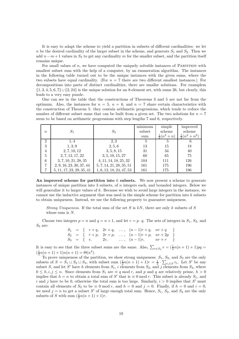It is easy to adapt the scheme to yield a partition in subsets of different cardinalities: we let n be the desired cardinality of the larger subset in the scheme, and generate  $S_1$  and  $S_2$ . Then we add  $n - m + 1$  values in  $S_2$  to get any cardinality m for the smaller subset, and the partition itself remains unique.

For small values of n, we have computed the uniquely solvable instances of PARTITION with smallest subset sum with the help of a computer, by an enumeration algorithm. The instances in the following table turned out to be the unique instances with the given sums, where the two subsets have equal cardinality. (For  $n = 7$  there are two different smallest instances.) For decompositions into parts of distinct cardinalities, there are smaller solutions. For examplem  $\{1, 3, 4, 5, 6, 7\} \cup \{2, 24\}$  is the unique solution for an 8-element set, with sums 26, but clearly, this leads to a very easy puzzle.

One can see in the table that the constructions of Theorems 3 and 5 are not far from the optimum. Also, the instances for  $n = 5$ ,  $n = 6$ , and  $n = 7$  share certain characteristics with the construction of Theorem 5: they contain arithmetic progressions, which tends to reduce the number of different subset sums that can be built from a given set. The two solutions for  $n = 7$ seem to be based on arithmetic progressions with step lengths 7 and 6, respectively.

|                  |                           |                          | $\cdot$ $\cdot$<br>minimum | simple             | improved             |
|------------------|---------------------------|--------------------------|----------------------------|--------------------|----------------------|
| $\boldsymbol{n}$ | $S_1$                     | $S_2$                    | subset                     | scheme             | scheme               |
|                  |                           |                          | sum                        | $rac{1}{2}(n^3+n)$ | $rac{1}{2}(n^3+n^2)$ |
| $\overline{2}$   | 1,4                       | 2.3                      | 5                          | 5                  | 6                    |
| 3                | 1, 3, 9                   | 2, 5, 6                  | 13                         | 15                 | 18                   |
| 4                | 2, 7, 10, 12              | 3, 5, 8, 15              | 31                         | 34                 | 40                   |
| 5                | 2, 7, 12, 17, 22          | 3, 5, 10, 15, 27         | 60                         | 65                 | 75                   |
| 6                | 3, 7, 10, 21, 28, 35      | 4, 11, 14, 18, 25, 32    | 104                        | 111                | 126                  |
| $\overline{7}$   | 2, 9, 16, 23, 30, 37, 44  | 5, 7, 14, 21, 28, 35, 51 | 161                        | 175                | 196                  |
| 7                | 5, 11, 17, 23, 29, 35, 41 | 1, 6, 12, 18, 24, 47, 53 | 161                        | 175                | 196                  |

An improved scheme for partition into  $k$  subsets. We now present a scheme to generate instances of unique partition into 3 subsets, of  $n$  integers each, and bounded integers. Below we will generalize it to larger values of  $k$ . Because we wish to avoid large integers in the instance, we cannot use the inductive argument that was used in the simple scheme for partition into  $k$  subsets to obtain uniqueness. Instead, we use the following property to guarantee uniqueness.

Strong Uniqueness. If the total sum of the set S is  $kN$ , there are only k subsets of S whose sum is  $N$ .

Choose two integers  $p = n$  and  $q = n + 1$ , and let  $r = p \cdot q$ . The sets of integers in  $S_1$ ,  $S_2$ , and  $S_3$  are:

|  |  |  | $S_1 = \{ r+q, 2r+q, \dots, (n-1)r+q, nr+q \}$   |  |
|--|--|--|--------------------------------------------------|--|
|  |  |  | $S_2 = \{ r+p, 2r+p, \ldots, (n-1)r+p, nr+2p \}$ |  |
|  |  |  | $S_3 = \{ r, 2r, , (n-1)r, nr+r \}$              |  |

It is easy to see that the three subset sums are the same. Also,  $\sum_{v \in S_3} v = (\frac{1}{2}n(n+1)+1)pq =$  $(\frac{1}{2}n(n+1)+1)n(n+1) = \Theta(n^4).$ 

To prove uniqueness of the partition, we show strong uniqueness:  $S_1$ ,  $S_2$ , and  $S_3$  are the only subsets of  $S = S_1 \cup S_2 \cup S_3$ , with subset sum  $(\frac{1}{2}n(n+1)+1)r = \frac{1}{3} \cdot \sum_{v_i \in S} v_i$ . Let S' be any subset S, and let S' have h elements from  $S_1$ , i elements from  $S_2$ , and j elements from  $S_3$ , where  $0 \leq h, i, j \leq n$ . Since elements from  $S_1$  are  $\equiv q \mod r$ , and p and q are relatively prime,  $h > 0$ implies that  $h = n$  to obtain a total sum of S' that is  $\equiv 0 \mod r$ . This subset is already  $S_1$ , and i and j have to be 0, otherwise the total sum is too large. Similarly,  $i > 0$  implies that S' must contain all elements of  $S_2$  to be  $\equiv 0 \mod r$ , and  $h = 0$  and  $j = 0$ . Finally, if  $h = 0$  and  $i = 0$ , we need  $j = n$  to get a subset S' of large enough total sum. Hence,  $S_1$ ,  $S_2$ , and  $S_3$  are the only subsets of S with sum  $(\frac{1}{2}n(n+1)+1)r$ .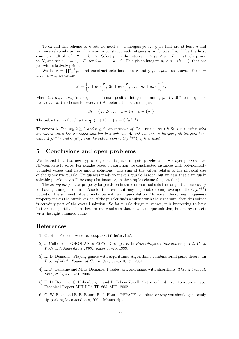To extend this scheme to k sets we need  $k-1$  integers  $p_1, \ldots, p_{k-1}$  that are at least n and pairwise relatively prime. One way to construct such integers is as follows: Let  $K$  be the least common multiple of  $1, 2, \ldots, k-2$ . Select  $p_1$  in the interval  $n \leq p_1 < n + K$ , relatively prime to K, and set  $p_{i+1} = p_i + K$ , for  $i = 1, \ldots, k-2$ . This yields integers  $p_i < n + (k-1)!$  that are pairwise relatively prime.

We let  $r = \prod_{i=1}^{k-1} p_i$ , and construct sets based on r and  $p_1, \ldots, p_{k-1}$  as above. For  $i =$  $1, \ldots, k-1$ , we define

$$
S_i = \left\{ r + a_1 \cdot \frac{r}{p_i}, \ 2r + a_2 \cdot \frac{r}{p_i}, \ \ldots, \ nr + a_n \cdot \frac{r}{p_i} \right\},\
$$

where  $(a_1, a_2, \ldots, a_n)$  is a sequence of small positive integers summing  $p_i$ . (A different sequence  $(a_1, a_2, \ldots, a_n)$  is chosen for every i.) As before, the last set is just

$$
S_k = \{ r, 2r, \dots, (n-1)r, (n+1)r \}
$$

The subset sum of each set is  $\frac{1}{2}n(n+1)\cdot r + r = \Theta(n^{k+1})$ .

**Theorem 6** For any  $k \geq 2$  and  $n \geq 2$ , an instance of PARTITION INTO k SUBSETS exists with kn values which has a unique solution in k subsets. All subsets have n integers, all integers have value  $\Omega(n^{k-1})$  and  $O(n^k)$ , and the subset sum is  $O(n^{k+1})$ , if k is fixed.

#### 5 Conclusions and open problems

We showed that two new types of geometric puzzles—gate puzzles and two-layer puzzles—are NP-complete to solve. For puzzles based on partition, we constructed instances with polynomially bounded values that have unique solutions. The sum of the values relates to the physical size of the geometric puzzle. Uniqueness tends to make a puzzle harder, but we saw that a uniquely solvable puzzle may still be easy (for instance, in the simple scheme for partition).

The *strong uniqueness* property for partition in three or more subsets is stronger than necessary for having a unique solution. Also for this reason, it may be possible to improve upon the  $O(n^{k+1})$ bound on the summed value of instances with a unique solution. Moreover, the strong uniqueness property makes the puzzle easier : if the puzzler finds a subset with the right sum, then this subset is certainly part of the overall solution. So for puzzle design purposes, it is interesting to have instances of partition into three or more subsets that have a unique solution, but many subsets with the right summed value.

#### References

- [1] Cubism For Fun website. http://cff.helm.lu/.
- [2] J. Culberson. SOKOBAN is PSPACE-complete. In Proceedings in Informatics 4 (Int. Conf. FUN with Algorithms 1998), pages 65–76, 1999.
- [3] E. D. Demaine. Playing games with algorithms: Algorithmic combinatorial game theory. In Proc. of Math. Found. of Comp. Sci., pages 18–32, 2001.
- [4] E. D. Demaine and M. L. Demaine. Puzzles, art, and magic with algorithms. Theory Comput. Syst., 39(3):473–481, 2006.
- [5] E. D. Demaine, S. Hohenberger, and D. Liben-Nowell. Tetris is hard, even to approximate. Technical Report MIT-LCS-TR-865, MIT, 2002.
- [6] G. W. Flake and E. B. Baum. Rush Hour is PSPACE-complete, or why you should generously tip parking lot attendants, 2001. Manuscript.